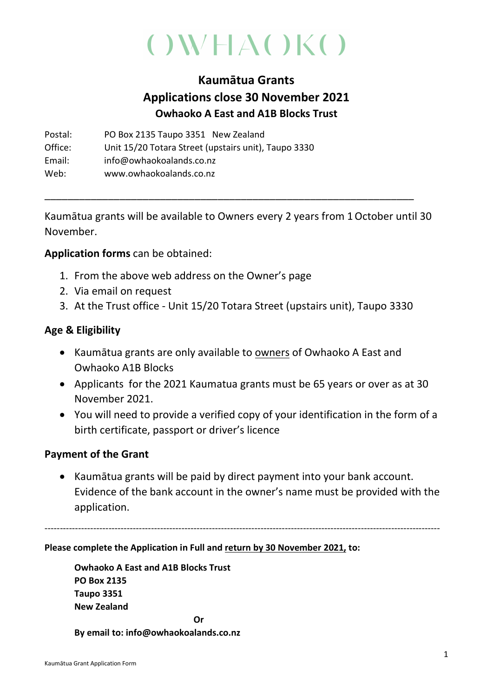# $($ )WHA()K()

# Kaumātua Grants Applications close 30 November 2021 Owhaoko A East and A1B Blocks Trust

Postal: PO Box 2135 Taupo 3351 New Zealand Office: Unit 15/20 Totara Street (upstairs unit), Taupo 3330 Email: info@owhaokoalands.co.nz Web: www.owhaokoalands.co.nz

Kaumātua grants will be available to Owners every 2 years from 1October until 30 November.

\_\_\_\_\_\_\_\_\_\_\_\_\_\_\_\_\_\_\_\_\_\_\_\_\_\_\_\_\_\_\_\_\_\_\_\_\_\_\_\_\_\_\_\_\_\_\_\_\_\_\_\_\_\_\_\_\_\_\_\_\_\_\_\_

## Application forms can be obtained:

- 1. From the above web address on the Owner's page
- 2. Via email on request
- 3. At the Trust office Unit 15/20 Totara Street (upstairs unit), Taupo 3330

## Age & Eligibility

- Kaumātua grants are only available to owners of Owhaoko A East and Owhaoko A1B Blocks
- Applicants for the 2021 Kaumatua grants must be 65 years or over as at 30 November 2021.
- You will need to provide a verified copy of your identification in the form of a birth certificate, passport or driver's licence

### Payment of the Grant

• Kaumātua grants will be paid by direct payment into your bank account. Evidence of the bank account in the owner's name must be provided with the application.

----------------------------------------------------------------------------------------------------------------------------------

#### Please complete the Application in Full and return by 30 November 2021, to:

Owhaoko A East and A1B Blocks Trust PO Box 2135 Taupo 3351 New Zealand **Oriented States (States States)** 

#### By email to: info@owhaokoalands.co.nz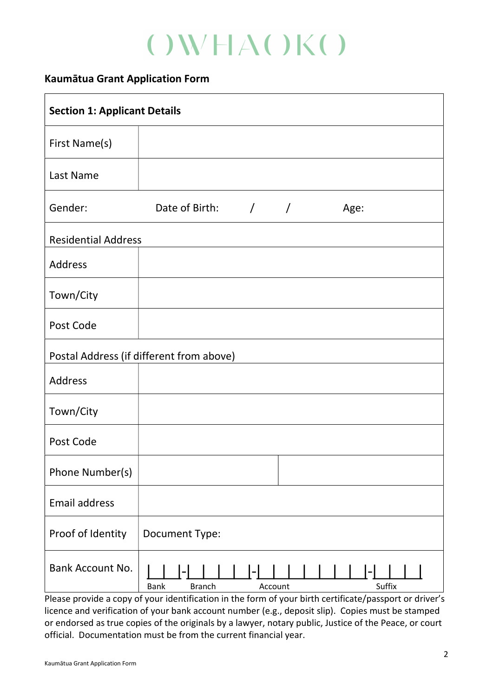# $($ )WHA()K()

## Kaumātua Grant Application Form

| <b>Section 1: Applicant Details</b>      |                                                   |  |
|------------------------------------------|---------------------------------------------------|--|
| First Name(s)                            |                                                   |  |
| Last Name                                |                                                   |  |
| Gender:                                  | Date of Birth: / /<br>Age:                        |  |
| <b>Residential Address</b>               |                                                   |  |
| Address                                  |                                                   |  |
| Town/City                                |                                                   |  |
| Post Code                                |                                                   |  |
| Postal Address (if different from above) |                                                   |  |
| <b>Address</b>                           |                                                   |  |
| Town/City                                |                                                   |  |
| Post Code                                |                                                   |  |
| Phone Number(s)                          |                                                   |  |
| Email address                            |                                                   |  |
| Proof of Identity                        | <b>Document Type:</b>                             |  |
| <b>Bank Account No.</b>                  | <b>Branch</b><br>Suffix<br><b>Bank</b><br>Account |  |

Please provide a copy of your identification in the form of your birth certificate/passport or driver's licence and verification of your bank account number (e.g., deposit slip). Copies must be stamped or endorsed as true copies of the originals by a lawyer, notary public, Justice of the Peace, or court official. Documentation must be from the current financial year.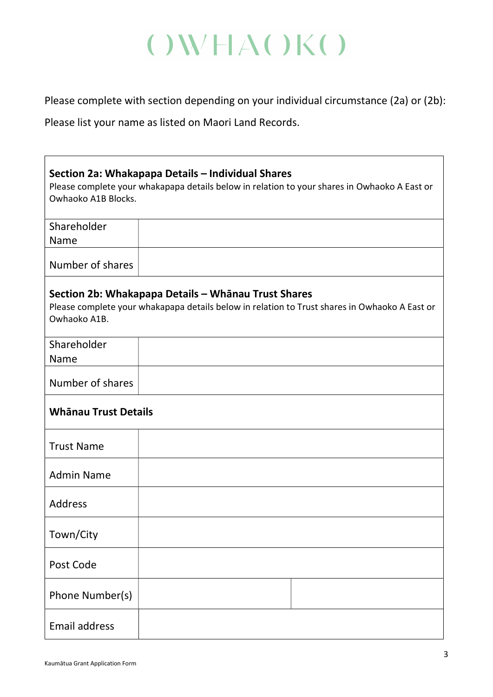# $($ )WHA()K()

Please complete with section depending on your individual circumstance (2a) or (2b):

Please list your name as listed on Maori Land Records.

 $\sqrt{ }$ 

| Section 2a: Whakapapa Details - Individual Shares<br>Please complete your whakapapa details below in relation to your shares in Owhaoko A East or<br>Owhaoko A1B Blocks. |  |  |
|--------------------------------------------------------------------------------------------------------------------------------------------------------------------------|--|--|
| Shareholder<br>Name                                                                                                                                                      |  |  |
| Number of shares                                                                                                                                                         |  |  |
| Section 2b: Whakapapa Details - Whānau Trust Shares<br>Please complete your whakapapa details below in relation to Trust shares in Owhaoko A East or<br>Owhaoko A1B.     |  |  |
| Shareholder<br>Name                                                                                                                                                      |  |  |
| Number of shares                                                                                                                                                         |  |  |
| <b>Whānau Trust Details</b>                                                                                                                                              |  |  |
| <b>Trust Name</b>                                                                                                                                                        |  |  |
| <b>Admin Name</b>                                                                                                                                                        |  |  |
| <b>Address</b>                                                                                                                                                           |  |  |
| Town/City                                                                                                                                                                |  |  |
| Post Code                                                                                                                                                                |  |  |
| Phone Number(s)                                                                                                                                                          |  |  |
| <b>Email address</b>                                                                                                                                                     |  |  |

 $\overline{1}$